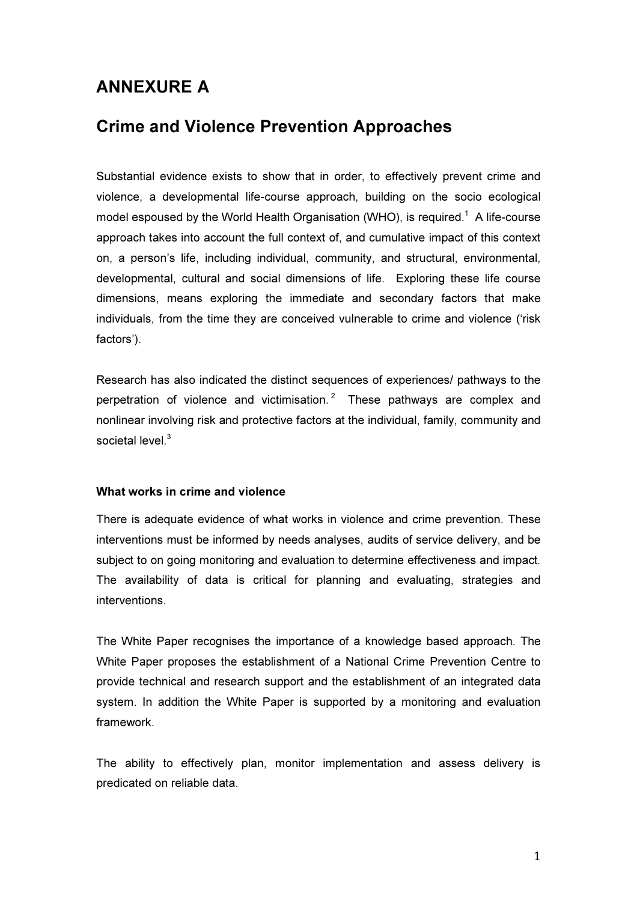## ANNEXURE A

## Crime and Violence Prevention Approaches

Substantial evidence exists to show that in order, to effectively prevent crime and violence, a developmental life-course approach, building on the socio ecological model espoused by the World Health Organisation (WHO), is required.<sup>1</sup> A life-course approach takes into account the full context of, and cumulative impact of this context on, a person's life, including individual, community, and structural, environmental, developmental, cultural and social dimensions of life. Exploring these life course dimensions, means exploring the immediate and secondary factors that make individuals, from the time they are conceived vulnerable to crime and violence ('risk factors').

Research has also indicated the distinct sequences of experiences/ pathways to the perpetration of violence and victimisation.<sup>2</sup> These pathways are complex and nonlinear involving risk and protective factors at the individual, family, community and societal level.<sup>3</sup>

## What works in crime and violence

There is adequate evidence of what works in violence and crime prevention. These interventions must be informed by needs analyses, audits of service delivery, and be subject to on going monitoring and evaluation to determine effectiveness and impact. The availability of data is critical for planning and evaluating, strategies and interventions.

The White Paper recognises the importance of a knowledge based approach. The White Paper proposes the establishment of a National Crime Prevention Centre to provide technical and research support and the establishment of an integrated data system. In addition the White Paper is supported by a monitoring and evaluation framework.

The ability to effectively plan, monitor implementation and assess delivery is predicated on reliable data.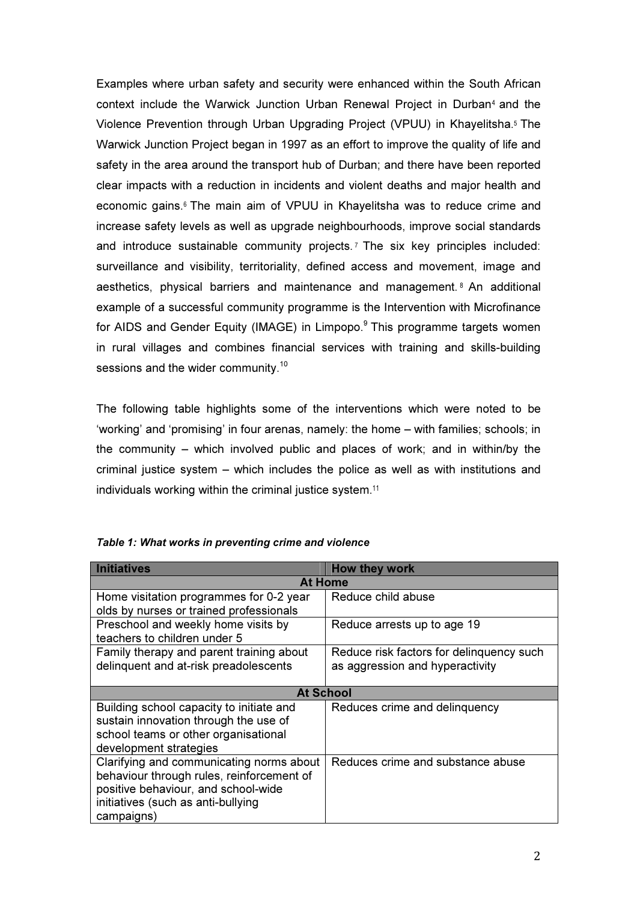Examples where urban safety and security were enhanced within the South African context include the Warwick Junction Urban Renewal Project in Durban<sup>4</sup> and the Violence Prevention through Urban Upgrading Project (VPUU) in Khayelitsha.<sup>5</sup> The Warwick Junction Project began in 1997 as an effort to improve the quality of life and safety in the area around the transport hub of Durban; and there have been reported clear impacts with a reduction in incidents and violent deaths and major health and economic gains.<sup>6</sup> The main aim of VPUU in Khayelitsha was to reduce crime and increase safety levels as well as upgrade neighbourhoods, improve social standards and introduce sustainable community projects. <sup>7</sup> The six key principles included: surveillance and visibility, territoriality, defined access and movement, image and aesthetics, physical barriers and maintenance and management. <sup>8</sup> An additional example of a successful community programme is the Intervention with Microfinance for AIDS and Gender Equity (IMAGE) in Limpopo.<sup>9</sup> This programme targets women in rural villages and combines financial services with training and skills-building sessions and the wider community.<sup>10</sup>

The following table highlights some of the interventions which were noted to be 'working' and 'promising' in four arenas, namely: the home – with families; schools; in the community – which involved public and places of work; and in within/by the criminal justice system – which includes the police as well as with institutions and individuals working within the criminal justice system.<sup>11</sup>

| <b>Initiatives</b>                        | <b>How they work</b>                     |
|-------------------------------------------|------------------------------------------|
| <b>At Home</b>                            |                                          |
| Home visitation programmes for 0-2 year   | Reduce child abuse                       |
| olds by nurses or trained professionals   |                                          |
| Preschool and weekly home visits by       | Reduce arrests up to age 19              |
| teachers to children under 5              |                                          |
| Family therapy and parent training about  | Reduce risk factors for delinguency such |
| delinquent and at-risk preadolescents     | as aggression and hyperactivity          |
|                                           |                                          |
| <b>At School</b>                          |                                          |
| Building school capacity to initiate and  | Reduces crime and delinquency            |
| sustain innovation through the use of     |                                          |
| school teams or other organisational      |                                          |
| development strategies                    |                                          |
| Clarifying and communicating norms about  | Reduces crime and substance abuse        |
| behaviour through rules, reinforcement of |                                          |
| positive behaviour, and school-wide       |                                          |
| initiatives (such as anti-bullying        |                                          |
| campaigns)                                |                                          |

| Table 1: What works in preventing crime and violence |
|------------------------------------------------------|
|------------------------------------------------------|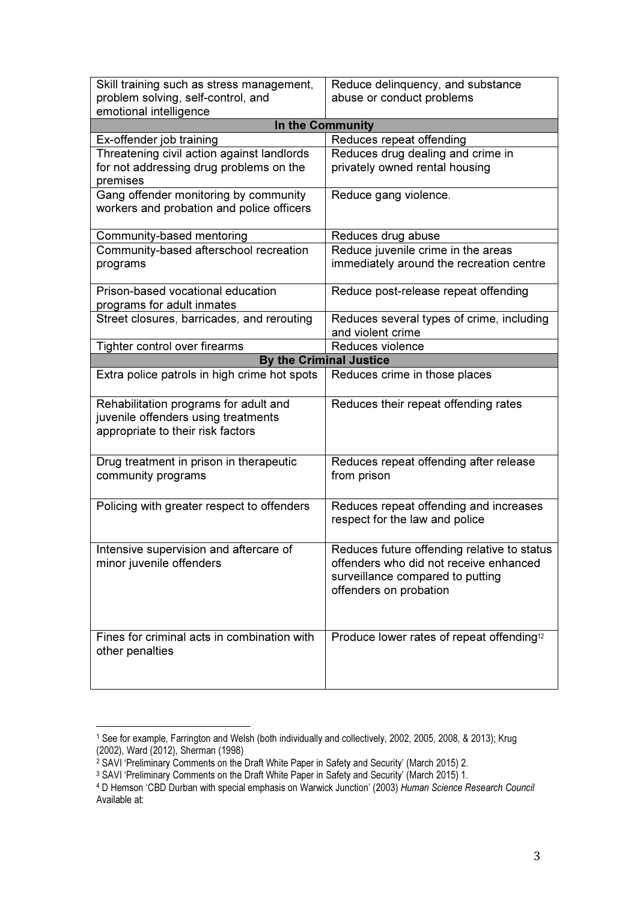| Skill training such as stress management,    | Reduce delinquency, and substance                     |  |
|----------------------------------------------|-------------------------------------------------------|--|
| problem solving, self-control, and           | abuse or conduct problems                             |  |
| emotional intelligence                       |                                                       |  |
| In the Community                             |                                                       |  |
| Ex-offender job training                     | Reduces repeat offending                              |  |
| Threatening civil action against landlords   | Reduces drug dealing and crime in                     |  |
| for not addressing drug problems on the      | privately owned rental housing                        |  |
| premises                                     |                                                       |  |
| Gang offender monitoring by community        | Reduce gang violence.                                 |  |
| workers and probation and police officers    |                                                       |  |
|                                              |                                                       |  |
| Community-based mentoring                    | Reduces drug abuse                                    |  |
| Community-based afterschool recreation       | Reduce juvenile crime in the areas                    |  |
| programs                                     | immediately around the recreation centre              |  |
|                                              |                                                       |  |
| Prison-based vocational education            | Reduce post-release repeat offending                  |  |
| programs for adult inmates                   |                                                       |  |
| Street closures, barricades, and rerouting   | Reduces several types of crime, including             |  |
|                                              | and violent crime                                     |  |
| Tighter control over firearms                | Reduces violence                                      |  |
| <b>By the Criminal Justice</b>               |                                                       |  |
| Extra police patrols in high crime hot spots | Reduces crime in those places                         |  |
|                                              |                                                       |  |
| Rehabilitation programs for adult and        | Reduces their repeat offending rates                  |  |
| juvenile offenders using treatments          |                                                       |  |
| appropriate to their risk factors            |                                                       |  |
|                                              |                                                       |  |
| Drug treatment in prison in therapeutic      | Reduces repeat offending after release                |  |
| community programs                           | from prison                                           |  |
|                                              |                                                       |  |
| Policing with greater respect to offenders   | Reduces repeat offending and increases                |  |
|                                              | respect for the law and police                        |  |
|                                              |                                                       |  |
| Intensive supervision and aftercare of       | Reduces future offending relative to status           |  |
| minor juvenile offenders                     | offenders who did not receive enhanced                |  |
|                                              | surveillance compared to putting                      |  |
|                                              | offenders on probation                                |  |
|                                              |                                                       |  |
|                                              |                                                       |  |
| Fines for criminal acts in combination with  | Produce lower rates of repeat offending <sup>12</sup> |  |
| other penalties                              |                                                       |  |
|                                              |                                                       |  |
|                                              |                                                       |  |
|                                              |                                                       |  |

<sup>&</sup>lt;sup>1</sup> See for example, Farrington and Welsh (both individually and collectively, 2002, 2005, 2008, & 2013); Krug

 $\overline{a}$ 

<sup>(2002),</sup> Ward (2012), Sherman (1998)<br><sup>2</sup> SAVI 'Preliminary Comments on the Draft White Paper in Safety and Security' (March 2015) 2.<br><sup>3</sup> SAVI 'Preliminary Comments on the Draft White Paper in Safety and Security' (March 201 Available at: